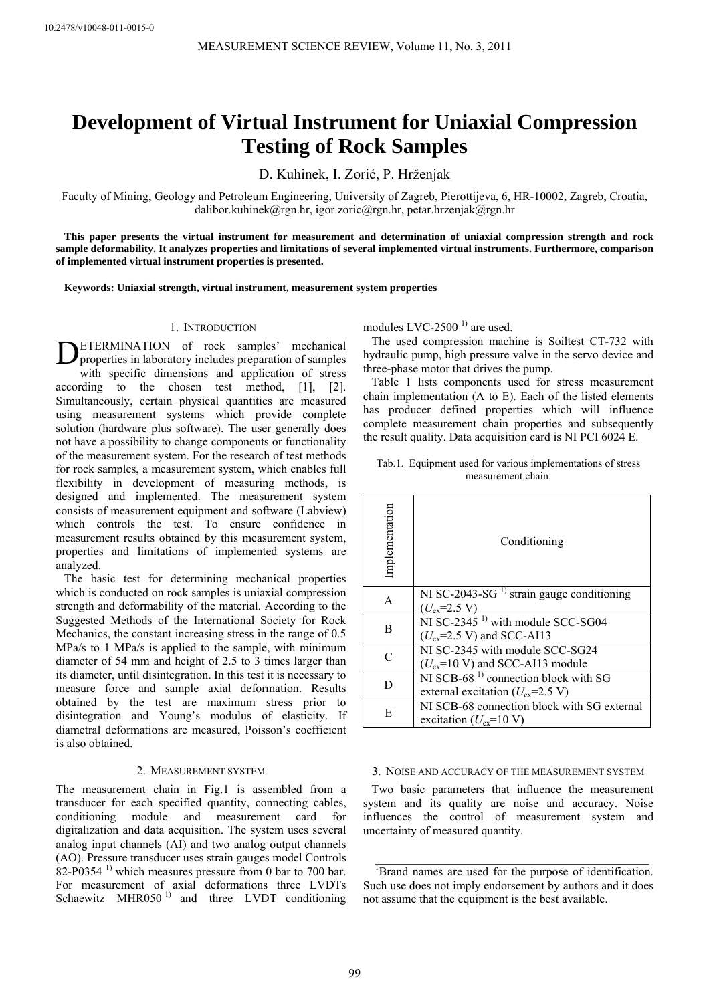# **Development of Virtual Instrument for Uniaxial Compression Testing of Rock Samples**

D. Kuhinek, I. Zorić, P. Hrženjak

Faculty of Mining, Geology and Petroleum Engineering, University of Zagreb, Pierottijeva, 6, HR-10002, Zagreb, Croatia, dalibor.kuhinek@rgn.hr, igor.zoric@rgn.hr, petar.hrzenjak@rgn.hr

**This paper presents the virtual instrument for measurement and determination of uniaxial compression strength and rock sample deformability. It analyzes properties and limitations of several implemented virtual instruments. Furthermore, comparison of implemented virtual instrument properties is presented.** 

**Keywords: Uniaxial strength, virtual instrument, measurement system properties** 

## 1. INTRODUCTION

ETERMINATION of rock samples' mechanical **DETERMINATION** of rock samples' mechanical properties in laboratory includes preparation of samples with specific dimensions and application of stress according to the chosen test method, [1], [2]. Simultaneously, certain physical quantities are measured using measurement systems which provide complete solution (hardware plus software). The user generally does not have a possibility to change components or functionality of the measurement system. For the research of test methods for rock samples, a measurement system, which enables full flexibility in development of measuring methods, is designed and implemented. The measurement system consists of measurement equipment and software (Labview) which controls the test. To ensure confidence in measurement results obtained by this measurement system, properties and limitations of implemented systems are analyzed.

The basic test for determining mechanical properties which is conducted on rock samples is uniaxial compression strength and deformability of the material. According to the Suggested Methods of the International Society for Rock Mechanics, the constant increasing stress in the range of 0.5 MPa/s to 1 MPa/s is applied to the sample, with minimum diameter of 54 mm and height of 2.5 to 3 times larger than its diameter, until disintegration. In this test it is necessary to measure force and sample axial deformation. Results obtained by the test are maximum stress prior to disintegration and Young's modulus of elasticity. If diametral deformations are measured, Poisson's coefficient is also obtained.

## 2. MEASUREMENT SYSTEM

The measurement chain in Fig.1 is assembled from a transducer for each specified quantity, connecting cables, conditioning module and measurement card for digitalization and data acquisition. The system uses several analog input channels (AI) and two analog output channels (AO). Pressure transducer uses strain gauges model Controls  $82-P0354$ <sup>1)</sup> which measures pressure from 0 bar to 700 bar. For measurement of axial deformations three LVDTs Schaewitz MHR050<sup>1)</sup> and three LVDT conditioning

modules LVC-2500 $<sup>1</sup>$  are used.</sup>

The used compression machine is Soiltest CT-732 with hydraulic pump, high pressure valve in the servo device and three-phase motor that drives the pump.

Table 1 lists components used for stress measurement chain implementation (A to E). Each of the listed elements has producer defined properties which will influence complete measurement chain properties and subsequently the result quality. Data acquisition card is NI PCI 6024 E.

| Implementation | Conditioning                                                                                  |
|----------------|-----------------------------------------------------------------------------------------------|
| A              | NI SC-2043-SG <sup>1)</sup> strain gauge conditioning<br>$(U_{ex} = 2.5 V)$                   |
| B              | NI SC-2345 <sup><math>1)</math></sup> with module SCC-SG04<br>$(U_{ex} = 2.5 V)$ and SCC-AI13 |
| $\subset$      | NI SC-2345 with module SCC-SG24<br>$(U_{ex} = 10 \text{ V})$ and SCC-AI13 module              |
| D              | NI SCB-68 $1$ connection block with SG<br>external excitation ( $U_{\text{ex}}$ =2.5 V)       |
| E              | NI SCB-68 connection block with SG external<br>excitation ( $U_{\text{ex}}$ =10 V)            |

#### Tab.1. Equipment used for various implementations of stress measurement chain.

## 3. NOISE AND ACCURACY OF THE MEASUREMENT SYSTEM

Two basic parameters that influence the measurement system and its quality are noise and accuracy. Noise influences the control of measurement system and uncertainty of measured quantity.

\_\_\_\_\_\_\_\_\_\_\_\_\_\_\_\_\_\_\_\_\_\_\_\_\_\_\_\_\_\_\_\_\_\_\_\_\_\_\_\_\_\_\_\_\_\_

<sup>&</sup>lt;sup>1</sup>Brand names are used for the purpose of identification. Such use does not imply endorsement by authors and it does not assume that the equipment is the best available.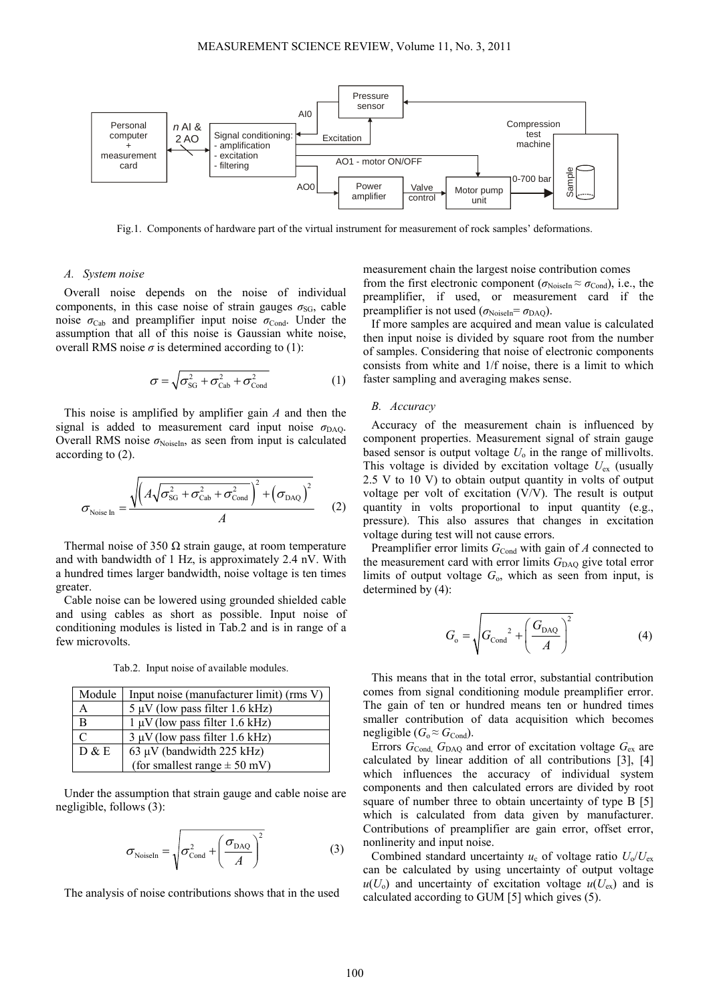

Fig.1. Components of hardware part of the virtual instrument for measurement of rock samples' deformations.

#### *A. System noise*

Overall noise depends on the noise of individual components, in this case noise of strain gauges  $\sigma_{SG}$ , cable noise  $\sigma_{\text{Cab}}$  and preamplifier input noise  $\sigma_{\text{Cond}}$ . Under the assumption that all of this noise is Gaussian white noise, overall RMS noise  $\sigma$  is determined according to (1):

$$
\sigma = \sqrt{\sigma_{SG}^2 + \sigma_{Cab}^2 + \sigma_{Cond}^2}
$$
 (1)

This noise is amplified by amplifier gain *A* and then the signal is added to measurement card input noise  $\sigma_{\text{DAO}}$ . Overall RMS noise  $\sigma_{\text{NoiseIn}}$ , as seen from input is calculated according to (2).

$$
\sigma_{\text{Noise In}} = \frac{\sqrt{\left(A\sqrt{\sigma_{\text{SG}}^2 + \sigma_{\text{Cab}}^2 + \sigma_{\text{Cond}}^2}\right)^2 + \left(\sigma_{\text{DAQ}}\right)^2}}{A}
$$
 (2)

Thermal noise of 350  $\Omega$  strain gauge, at room temperature and with bandwidth of 1 Hz, is approximately 2.4 nV. With a hundred times larger bandwidth, noise voltage is ten times greater.

Cable noise can be lowered using grounded shielded cable and using cables as short as possible. Input noise of conditioning modules is listed in Tab.2 and is in range of a few microvolts.

Tab.2. Input noise of available modules.

| Module | Input noise (manufacturer limit) (rms V) |  |
|--------|------------------------------------------|--|
| A      | $5 \mu V$ (low pass filter 1.6 kHz)      |  |
| B      | $1 \mu V$ (low pass filter 1.6 kHz)      |  |
| C      | $3 \mu V$ (low pass filter 1.6 kHz)      |  |
| D & E  | 63 µV (bandwidth $225$ kHz)              |  |
|        | (for smallest range $\pm$ 50 mV)         |  |

Under the assumption that strain gauge and cable noise are negligible, follows (3):

$$
\sigma_{\text{NoiseIn}} = \sqrt{\sigma_{\text{Cond}}^2 + \left(\frac{\sigma_{\text{DAQ}}}{A}\right)^2}
$$
 (3)

The analysis of noise contributions shows that in the used

measurement chain the largest noise contribution comes from the first electronic component ( $\sigma_{\text{NoiseIn}} \approx \sigma_{\text{Cond}}$ ), i.e., the preamplifier, if used, or measurement card if the preamplifier is not used ( $\sigma_{\text{NoiseIn}} = \sigma_{\text{DAQ}}$ ).

If more samples are acquired and mean value is calculated then input noise is divided by square root from the number of samples. Considering that noise of electronic components consists from white and 1/f noise, there is a limit to which faster sampling and averaging makes sense.

#### *B. Accuracy*

Accuracy of the measurement chain is influenced by component properties. Measurement signal of strain gauge based sensor is output voltage  $U_0$  in the range of millivolts. This voltage is divided by excitation voltage  $U_{ex}$  (usually 2.5 V to 10 V) to obtain output quantity in volts of output voltage per volt of excitation (V/V). The result is output quantity in volts proportional to input quantity (e.g., pressure). This also assures that changes in excitation voltage during test will not cause errors.

Preamplifier error limits  $G_{\text{Cond}}$  with gain of  $A$  connected to the measurement card with error limits  $G<sub>DAQ</sub>$  give total error limits of output voltage *G*o, which as seen from input, is determined by (4):

$$
G_{\rm o} = \sqrt{G_{\rm Cond}^2 + \left(\frac{G_{\rm DAQ}}{A}\right)^2} \tag{4}
$$

This means that in the total error, substantial contribution comes from signal conditioning module preamplifier error. The gain of ten or hundred means ten or hundred times smaller contribution of data acquisition which becomes negligible  $(G_0 \approx G_{\text{Cond}})$ .

Errors  $G_{\text{Cond}}$ ,  $G_{\text{DAQ}}$  and error of excitation voltage  $G_{\text{ex}}$  are calculated by linear addition of all contributions [3], [4] which influences the accuracy of individual system components and then calculated errors are divided by root square of number three to obtain uncertainty of type B [5] which is calculated from data given by manufacturer. Contributions of preamplifier are gain error, offset error, nonlinerity and input noise.

Combined standard uncertainty  $u_c$  of voltage ratio  $U_c/U_{ex}$ can be calculated by using uncertainty of output voltage  $u(U_0)$  and uncertainty of excitation voltage  $u(U_{ex})$  and is calculated according to GUM [5] which gives (5).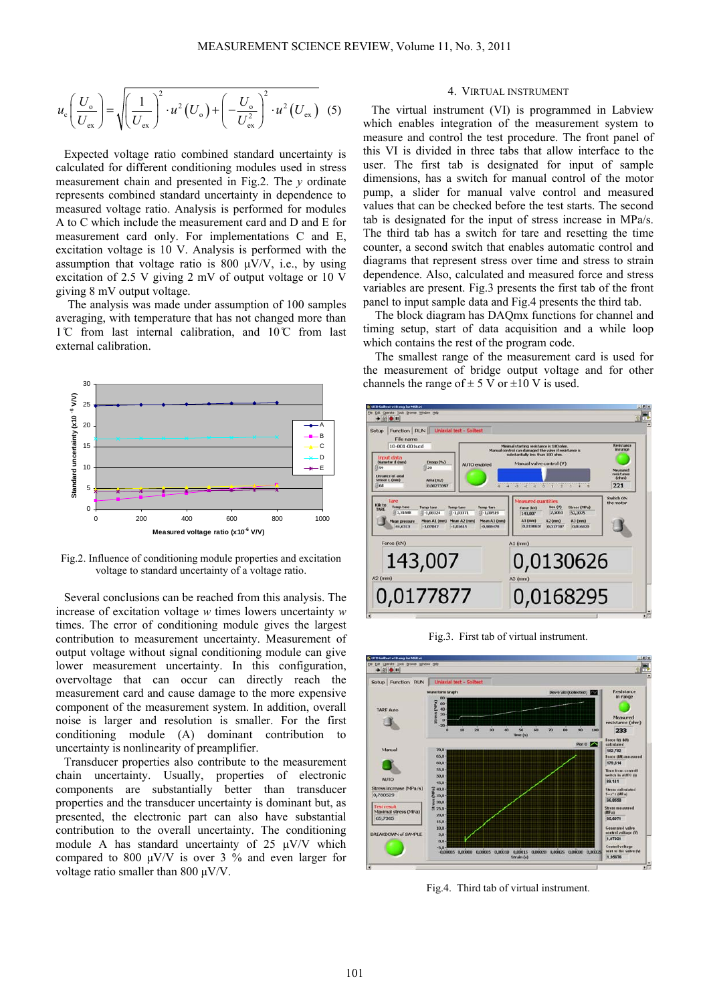$$
u_{\rm c}\left(\frac{U_{\rm o}}{U_{\rm ex}}\right) = \sqrt{\left(\frac{1}{U_{\rm ex}}\right)^2 \cdot u^2 \left(U_{\rm o}\right) + \left(-\frac{U_{\rm o}}{U_{\rm ex}^2}\right)^2 \cdot u^2 \left(U_{\rm ex}\right)}
$$
(5)

Expected voltage ratio combined standard uncertainty is calculated for different conditioning modules used in stress measurement chain and presented in Fig.2. The *y* ordinate represents combined standard uncertainty in dependence to measured voltage ratio. Analysis is performed for modules A to C which include the measurement card and D and E for measurement card only. For implementations C and E, excitation voltage is 10 V. Analysis is performed with the assumption that voltage ratio is  $800 \mu V/V$ , i.e., by using excitation of 2.5 V giving 2 mV of output voltage or 10 V giving 8 mV output voltage.

The analysis was made under assumption of 100 samples averaging, with temperature that has not changed more than  $1^\circ$ C from last internal calibration, and  $10^\circ$ C from last external calibration.



Fig.2. Influence of conditioning module properties and excitation voltage to standard uncertainty of a voltage ratio.

Several conclusions can be reached from this analysis. The increase of excitation voltage *w* times lowers uncertainty *w* times. The error of conditioning module gives the largest contribution to measurement uncertainty. Measurement of output voltage without signal conditioning module can give lower measurement uncertainty. In this configuration, overvoltage that can occur can directly reach the measurement card and cause damage to the more expensive component of the measurement system. In addition, overall noise is larger and resolution is smaller. For the first conditioning module (A) dominant contribution to uncertainty is nonlinearity of preamplifier.

Transducer properties also contribute to the measurement chain uncertainty. Usually, properties of electronic components are substantially better than transducer properties and the transducer uncertainty is dominant but, as presented, the electronic part can also have substantial contribution to the overall uncertainty. The conditioning module A has standard uncertainty of 25 μV/V which compared to 800  $\mu$ V/V is over 3 % and even larger for voltage ratio smaller than 800 μV/V.

# 4. VIRTUAL INSTRUMENT

The virtual instrument (VI) is programmed in Labview which enables integration of the measurement system to measure and control the test procedure. The front panel of this VI is divided in three tabs that allow interface to the user. The first tab is designated for input of sample dimensions, has a switch for manual control of the motor pump, a slider for manual valve control and measured values that can be checked before the test starts. The second tab is designated for the input of stress increase in MPa/s. The third tab has a switch for tare and resetting the time counter, a second switch that enables automatic control and diagrams that represent stress over time and stress to strain dependence. Also, calculated and measured force and stress variables are present. Fig.3 presents the first tab of the front panel to input sample data and Fig.4 presents the third tab.

The block diagram has DAQmx functions for channel and timing setup, start of data acquisition and a while loop which contains the rest of the program code.

The smallest range of the measurement card is used for the measurement of bridge output voltage and for other channels the range of  $\pm$  5 V or  $\pm$ 10 V is used.



Fig.3. First tab of virtual instrument.



Fig.4. Third tab of virtual instrument.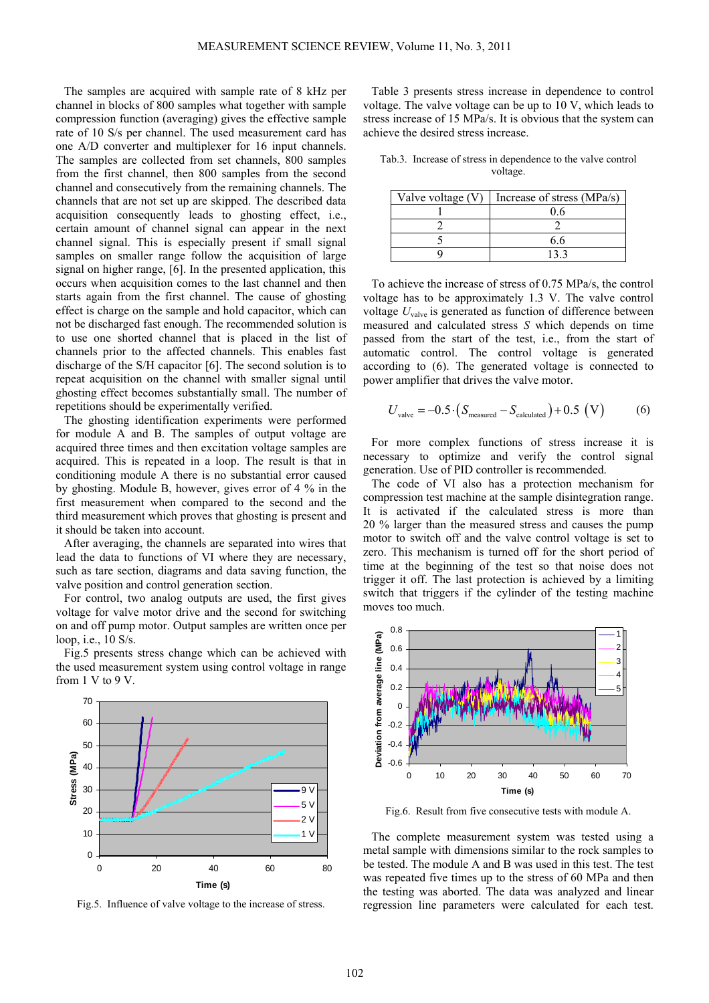The samples are acquired with sample rate of 8 kHz per channel in blocks of 800 samples what together with sample compression function (averaging) gives the effective sample rate of 10 S/s per channel. The used measurement card has one A/D converter and multiplexer for 16 input channels. The samples are collected from set channels, 800 samples from the first channel, then 800 samples from the second channel and consecutively from the remaining channels. The channels that are not set up are skipped. The described data acquisition consequently leads to ghosting effect, i.e., certain amount of channel signal can appear in the next channel signal. This is especially present if small signal samples on smaller range follow the acquisition of large signal on higher range, [6]. In the presented application, this occurs when acquisition comes to the last channel and then starts again from the first channel. The cause of ghosting effect is charge on the sample and hold capacitor, which can not be discharged fast enough. The recommended solution is to use one shorted channel that is placed in the list of channels prior to the affected channels. This enables fast discharge of the S/H capacitor [6]. The second solution is to repeat acquisition on the channel with smaller signal until ghosting effect becomes substantially small. The number of repetitions should be experimentally verified.

The ghosting identification experiments were performed for module A and B. The samples of output voltage are acquired three times and then excitation voltage samples are acquired. This is repeated in a loop. The result is that in conditioning module A there is no substantial error caused by ghosting. Module B, however, gives error of 4 % in the first measurement when compared to the second and the third measurement which proves that ghosting is present and it should be taken into account.

After averaging, the channels are separated into wires that lead the data to functions of VI where they are necessary, such as tare section, diagrams and data saving function, the valve position and control generation section.

For control, two analog outputs are used, the first gives voltage for valve motor drive and the second for switching on and off pump motor. Output samples are written once per loop, i.e., 10 S/s.

Fig.5 presents stress change which can be achieved with the used measurement system using control voltage in range from 1 V to 9 V.



Fig.5. Influence of valve voltage to the increase of stress.

Table 3 presents stress increase in dependence to control voltage. The valve voltage can be up to 10 V, which leads to stress increase of 15 MPa/s. It is obvious that the system can achieve the desired stress increase.

Tab.3. Increase of stress in dependence to the valve control voltage.

| Valve voltage (V) | Increase of stress (MPa/s) |
|-------------------|----------------------------|
|                   |                            |
|                   |                            |
|                   | ჩ ჩ                        |
|                   |                            |

To achieve the increase of stress of 0.75 MPa/s, the control voltage has to be approximately 1.3 V. The valve control voltage  $U_{\text{valve}}$  is generated as function of difference between measured and calculated stress *S* which depends on time passed from the start of the test, i.e., from the start of automatic control. The control voltage is generated according to (6). The generated voltage is connected to power amplifier that drives the valve motor.

$$
U_{\text{value}} = -0.5 \cdot (S_{\text{measured}} - S_{\text{calculated}}) + 0.5 \text{ (V)} \tag{6}
$$

For more complex functions of stress increase it is necessary to optimize and verify the control signal generation. Use of PID controller is recommended.

The code of VI also has a protection mechanism for compression test machine at the sample disintegration range. It is activated if the calculated stress is more than 20 % larger than the measured stress and causes the pump motor to switch off and the valve control voltage is set to zero. This mechanism is turned off for the short period of time at the beginning of the test so that noise does not trigger it off. The last protection is achieved by a limiting switch that triggers if the cylinder of the testing machine moves too much.



Fig.6. Result from five consecutive tests with module A.

The complete measurement system was tested using a metal sample with dimensions similar to the rock samples to be tested. The module A and B was used in this test. The test was repeated five times up to the stress of 60 MPa and then the testing was aborted. The data was analyzed and linear regression line parameters were calculated for each test.